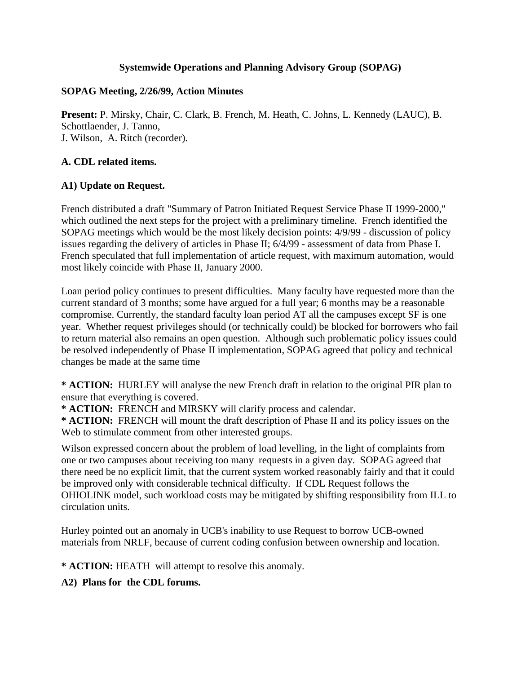#### **Systemwide Operations and Planning Advisory Group (SOPAG)**

#### **SOPAG Meeting, 2/26/99, Action Minutes**

**Present:** P. Mirsky, Chair, C. Clark, B. French, M. Heath, C. Johns, L. Kennedy (LAUC), B. Schottlaender, J. Tanno, J. Wilson, A. Ritch (recorder).

#### **A. CDL related items.**

#### **A1) Update on Request.**

French distributed a draft "Summary of Patron Initiated Request Service Phase II 1999-2000," which outlined the next steps for the project with a preliminary timeline. French identified the SOPAG meetings which would be the most likely decision points: 4/9/99 - discussion of policy issues regarding the delivery of articles in Phase II; 6/4/99 - assessment of data from Phase I. French speculated that full implementation of article request, with maximum automation, would most likely coincide with Phase II, January 2000.

Loan period policy continues to present difficulties. Many faculty have requested more than the current standard of 3 months; some have argued for a full year; 6 months may be a reasonable compromise. Currently, the standard faculty loan period AT all the campuses except SF is one year. Whether request privileges should (or technically could) be blocked for borrowers who fail to return material also remains an open question. Although such problematic policy issues could be resolved independently of Phase II implementation, SOPAG agreed that policy and technical changes be made at the same time

**\* ACTION:** HURLEY will analyse the new French draft in relation to the original PIR plan to ensure that everything is covered.

**\* ACTION:** FRENCH and MIRSKY will clarify process and calendar.

**\* ACTION:** FRENCH will mount the draft description of Phase II and its policy issues on the Web to stimulate comment from other interested groups.

Wilson expressed concern about the problem of load levelling, in the light of complaints from one or two campuses about receiving too many requests in a given day. SOPAG agreed that there need be no explicit limit, that the current system worked reasonably fairly and that it could be improved only with considerable technical difficulty. If CDL Request follows the OHIOLINK model, such workload costs may be mitigated by shifting responsibility from ILL to circulation units.

Hurley pointed out an anomaly in UCB's inability to use Request to borrow UCB-owned materials from NRLF, because of current coding confusion between ownership and location.

**\* ACTION:** HEATH will attempt to resolve this anomaly.

**A2) Plans for the CDL forums.**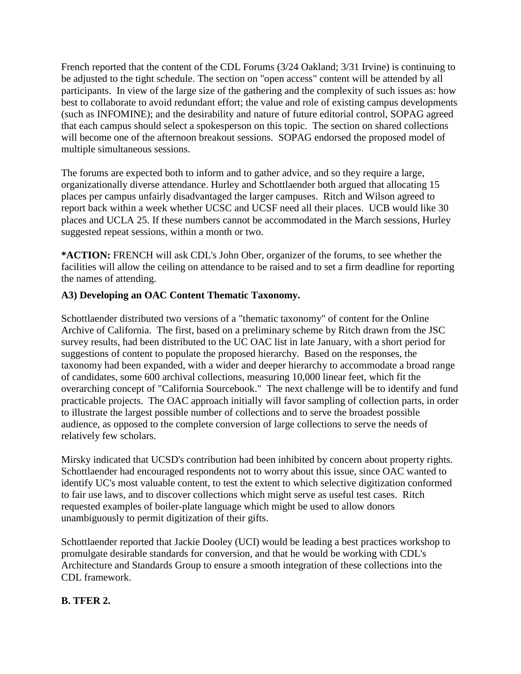French reported that the content of the CDL Forums (3/24 Oakland; 3/31 Irvine) is continuing to be adjusted to the tight schedule. The section on "open access" content will be attended by all participants. In view of the large size of the gathering and the complexity of such issues as: how best to collaborate to avoid redundant effort; the value and role of existing campus developments (such as INFOMINE); and the desirability and nature of future editorial control, SOPAG agreed that each campus should select a spokesperson on this topic. The section on shared collections will become one of the afternoon breakout sessions. SOPAG endorsed the proposed model of multiple simultaneous sessions.

The forums are expected both to inform and to gather advice, and so they require a large, organizationally diverse attendance. Hurley and Schottlaender both argued that allocating 15 places per campus unfairly disadvantaged the larger campuses. Ritch and Wilson agreed to report back within a week whether UCSC and UCSF need all their places. UCB would like 30 places and UCLA 25. If these numbers cannot be accommodated in the March sessions, Hurley suggested repeat sessions, within a month or two.

**\*ACTION:** FRENCH will ask CDL's John Ober, organizer of the forums, to see whether the facilities will allow the ceiling on attendance to be raised and to set a firm deadline for reporting the names of attending.

# **A3) Developing an OAC Content Thematic Taxonomy.**

Schottlaender distributed two versions of a "thematic taxonomy" of content for the Online Archive of California. The first, based on a preliminary scheme by Ritch drawn from the JSC survey results, had been distributed to the UC OAC list in late January, with a short period for suggestions of content to populate the proposed hierarchy. Based on the responses, the taxonomy had been expanded, with a wider and deeper hierarchy to accommodate a broad range of candidates, some 600 archival collections, measuring 10,000 linear feet, which fit the overarching concept of "California Sourcebook." The next challenge will be to identify and fund practicable projects. The OAC approach initially will favor sampling of collection parts, in order to illustrate the largest possible number of collections and to serve the broadest possible audience, as opposed to the complete conversion of large collections to serve the needs of relatively few scholars.

Mirsky indicated that UCSD's contribution had been inhibited by concern about property rights. Schottlaender had encouraged respondents not to worry about this issue, since OAC wanted to identify UC's most valuable content, to test the extent to which selective digitization conformed to fair use laws, and to discover collections which might serve as useful test cases. Ritch requested examples of boiler-plate language which might be used to allow donors unambiguously to permit digitization of their gifts.

Schottlaender reported that Jackie Dooley (UCI) would be leading a best practices workshop to promulgate desirable standards for conversion, and that he would be working with CDL's Architecture and Standards Group to ensure a smooth integration of these collections into the CDL framework.

## **B. TFER 2.**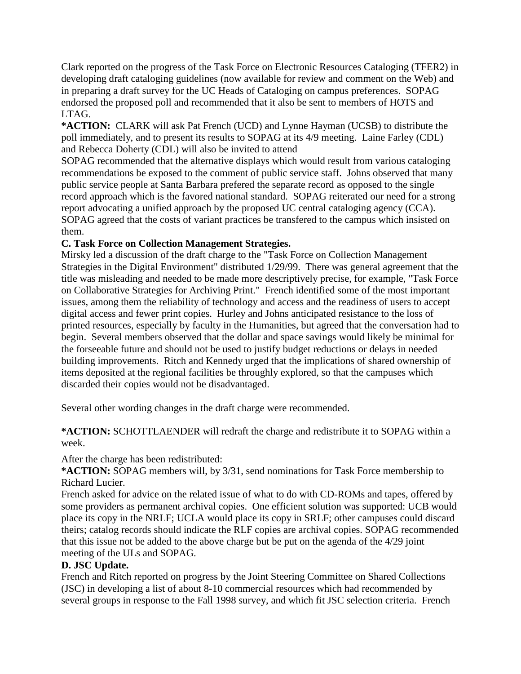Clark reported on the progress of the Task Force on Electronic Resources Cataloging (TFER2) in developing draft cataloging guidelines (now available for review and comment on the Web) and in preparing a draft survey for the UC Heads of Cataloging on campus preferences. SOPAG endorsed the proposed poll and recommended that it also be sent to members of HOTS and LTAG.

**\*ACTION:** CLARK will ask Pat French (UCD) and Lynne Hayman (UCSB) to distribute the poll immediately, and to present its results to SOPAG at its 4/9 meeting. Laine Farley (CDL) and Rebecca Doherty (CDL) will also be invited to attend

SOPAG recommended that the alternative displays which would result from various cataloging recommendations be exposed to the comment of public service staff. Johns observed that many public service people at Santa Barbara prefered the separate record as opposed to the single record approach which is the favored national standard. SOPAG reiterated our need for a strong report advocating a unified approach by the proposed UC central cataloging agency (CCA). SOPAG agreed that the costs of variant practices be transfered to the campus which insisted on them.

# **C. Task Force on Collection Management Strategies.**

Mirsky led a discussion of the draft charge to the "Task Force on Collection Management Strategies in the Digital Environment" distributed 1/29/99. There was general agreement that the title was misleading and needed to be made more descriptively precise, for example, "Task Force on Collaborative Strategies for Archiving Print." French identified some of the most important issues, among them the reliability of technology and access and the readiness of users to accept digital access and fewer print copies. Hurley and Johns anticipated resistance to the loss of printed resources, especially by faculty in the Humanities, but agreed that the conversation had to begin. Several members observed that the dollar and space savings would likely be minimal for the forseeable future and should not be used to justify budget reductions or delays in needed building improvements. Ritch and Kennedy urged that the implications of shared ownership of items deposited at the regional facilities be throughly explored, so that the campuses which discarded their copies would not be disadvantaged.

Several other wording changes in the draft charge were recommended.

**\*ACTION:** SCHOTTLAENDER will redraft the charge and redistribute it to SOPAG within a week.

## After the charge has been redistributed:

**\*ACTION:** SOPAG members will, by 3/31, send nominations for Task Force membership to Richard Lucier.

French asked for advice on the related issue of what to do with CD-ROMs and tapes, offered by some providers as permanent archival copies. One efficient solution was supported: UCB would place its copy in the NRLF; UCLA would place its copy in SRLF; other campuses could discard theirs; catalog records should indicate the RLF copies are archival copies. SOPAG recommended that this issue not be added to the above charge but be put on the agenda of the 4/29 joint meeting of the ULs and SOPAG.

## **D. JSC Update.**

French and Ritch reported on progress by the Joint Steering Committee on Shared Collections (JSC) in developing a list of about 8-10 commercial resources which had recommended by several groups in response to the Fall 1998 survey, and which fit JSC selection criteria. French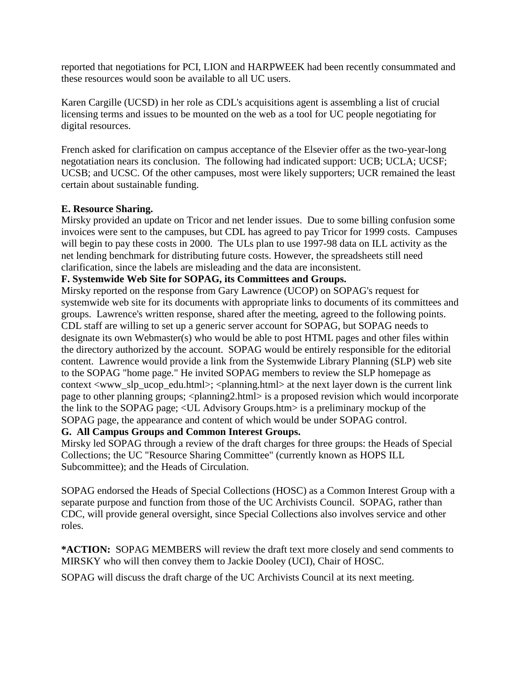reported that negotiations for PCI, LION and HARPWEEK had been recently consummated and these resources would soon be available to all UC users.

Karen Cargille (UCSD) in her role as CDL's acquisitions agent is assembling a list of crucial licensing terms and issues to be mounted on the web as a tool for UC people negotiating for digital resources.

French asked for clarification on campus acceptance of the Elsevier offer as the two-year-long negotatiation nears its conclusion. The following had indicated support: UCB; UCLA; UCSF; UCSB; and UCSC. Of the other campuses, most were likely supporters; UCR remained the least certain about sustainable funding.

## **E. Resource Sharing.**

Mirsky provided an update on Tricor and net lender issues. Due to some billing confusion some invoices were sent to the campuses, but CDL has agreed to pay Tricor for 1999 costs. Campuses will begin to pay these costs in 2000. The ULs plan to use 1997-98 data on ILL activity as the net lending benchmark for distributing future costs. However, the spreadsheets still need clarification, since the labels are misleading and the data are inconsistent.

#### **F. Systemwide Web Site for SOPAG, its Committees and Groups.**

Mirsky reported on the response from Gary Lawrence (UCOP) on SOPAG's request for systemwide web site for its documents with appropriate links to documents of its committees and groups. Lawrence's written response, shared after the meeting, agreed to the following points. CDL staff are willing to set up a generic server account for SOPAG, but SOPAG needs to designate its own Webmaster(s) who would be able to post HTML pages and other files within the directory authorized by the account. SOPAG would be entirely responsible for the editorial content. Lawrence would provide a link from the Systemwide Library Planning (SLP) web site to the SOPAG "home page." He invited SOPAG members to review the SLP homepage as context  $\langle$ www\_slp\_ucop\_edu.html>;  $\langle$ planning.html> at the next layer down is the current link page to other planning groups; <planning2.html> is a proposed revision which would incorporate the link to the SOPAG page; <UL Advisory Groups.htm> is a preliminary mockup of the SOPAG page, the appearance and content of which would be under SOPAG control.

# **G. All Campus Groups and Common Interest Groups.**

Mirsky led SOPAG through a review of the draft charges for three groups: the Heads of Special Collections; the UC "Resource Sharing Committee" (currently known as HOPS ILL Subcommittee); and the Heads of Circulation.

SOPAG endorsed the Heads of Special Collections (HOSC) as a Common Interest Group with a separate purpose and function from those of the UC Archivists Council. SOPAG, rather than CDC, will provide general oversight, since Special Collections also involves service and other roles.

**\*ACTION:** SOPAG MEMBERS will review the draft text more closely and send comments to MIRSKY who will then convey them to Jackie Dooley (UCI), Chair of HOSC.

SOPAG will discuss the draft charge of the UC Archivists Council at its next meeting.